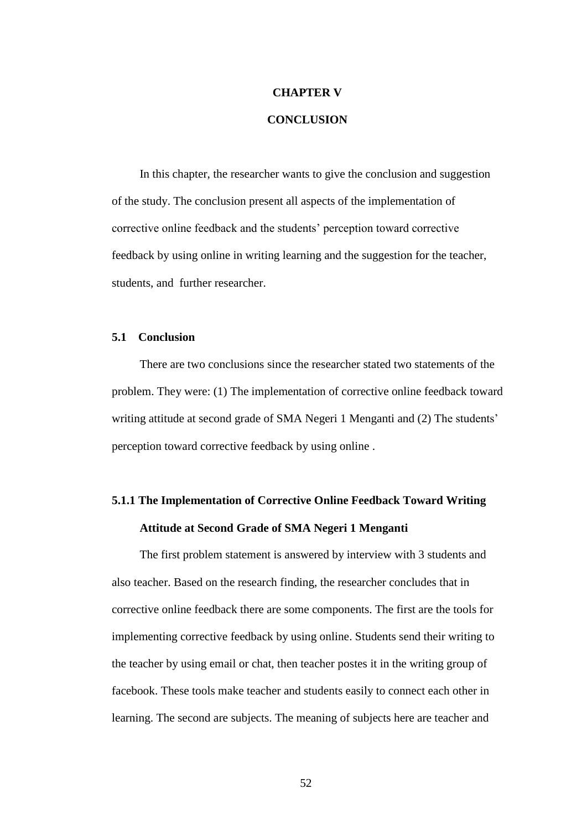# **CHAPTER V**

### **CONCLUSION**

In this chapter, the researcher wants to give the conclusion and suggestion of the study. The conclusion present all aspects of the implementation of corrective online feedback and the students' perception toward corrective feedback by using online in writing learning and the suggestion for the teacher, students, and further researcher.

#### **5.1 Conclusion**

There are two conclusions since the researcher stated two statements of the problem. They were: (1) The implementation of corrective online feedback toward writing attitude at second grade of SMA Negeri 1 Menganti and (2) The students' perception toward corrective feedback by using online .

# **5.1.1 The Implementation of Corrective Online Feedback Toward Writing Attitude at Second Grade of SMA Negeri 1 Menganti**

The first problem statement is answered by interview with 3 students and also teacher. Based on the research finding, the researcher concludes that in corrective online feedback there are some components. The first are the tools for implementing corrective feedback by using online. Students send their writing to the teacher by using email or chat, then teacher postes it in the writing group of facebook. These tools make teacher and students easily to connect each other in learning. The second are subjects. The meaning of subjects here are teacher and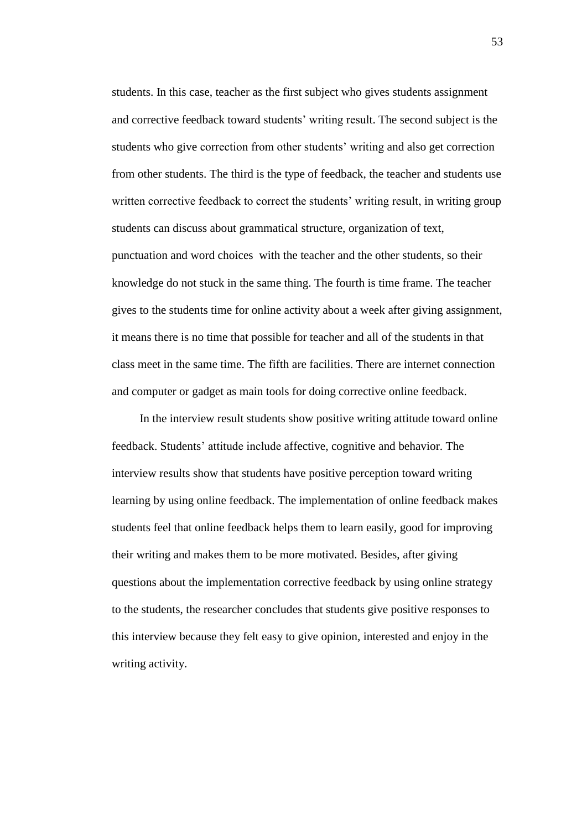students. In this case, teacher as the first subject who gives students assignment and corrective feedback toward students' writing result. The second subject is the students who give correction from other students' writing and also get correction from other students. The third is the type of feedback, the teacher and students use written corrective feedback to correct the students' writing result, in writing group students can discuss about grammatical structure, organization of text, punctuation and word choices with the teacher and the other students, so their knowledge do not stuck in the same thing. The fourth is time frame. The teacher gives to the students time for online activity about a week after giving assignment, it means there is no time that possible for teacher and all of the students in that class meet in the same time. The fifth are facilities. There are internet connection and computer or gadget as main tools for doing corrective online feedback.

In the interview result students show positive writing attitude toward online feedback. Students' attitude include affective, cognitive and behavior. The interview results show that students have positive perception toward writing learning by using online feedback. The implementation of online feedback makes students feel that online feedback helps them to learn easily, good for improving their writing and makes them to be more motivated. Besides, after giving questions about the implementation corrective feedback by using online strategy to the students, the researcher concludes that students give positive responses to this interview because they felt easy to give opinion, interested and enjoy in the writing activity.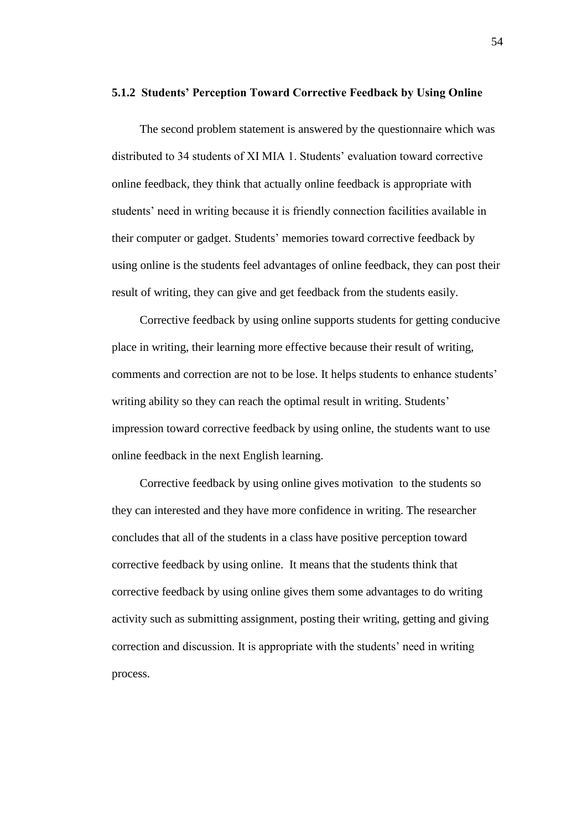# **5.1.2 Students' Perception Toward Corrective Feedback by Using Online**

The second problem statement is answered by the questionnaire which was distributed to 34 students of XI MIA 1. Students' evaluation toward corrective online feedback, they think that actually online feedback is appropriate with students' need in writing because it is friendly connection facilities available in their computer or gadget. Students' memories toward corrective feedback by using online is the students feel advantages of online feedback, they can post their result of writing, they can give and get feedback from the students easily.

Corrective feedback by using online supports students for getting conducive place in writing, their learning more effective because their result of writing, comments and correction are not to be lose. It helps students to enhance students' writing ability so they can reach the optimal result in writing. Students' impression toward corrective feedback by using online, the students want to use online feedback in the next English learning.

Corrective feedback by using online gives motivation to the students so they can interested and they have more confidence in writing. The researcher concludes that all of the students in a class have positive perception toward corrective feedback by using online. It means that the students think that corrective feedback by using online gives them some advantages to do writing activity such as submitting assignment, posting their writing, getting and giving correction and discussion. It is appropriate with the students' need in writing process.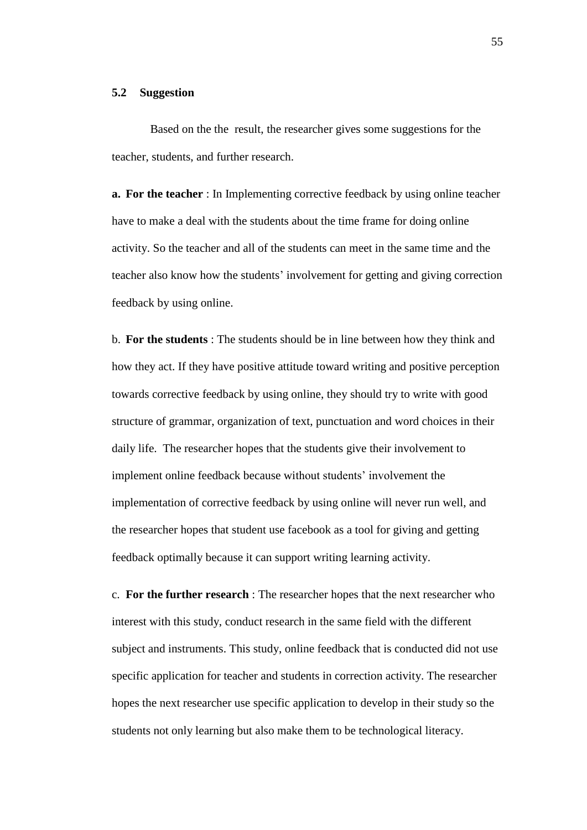# **5.2 Suggestion**

Based on the the result, the researcher gives some suggestions for the teacher, students, and further research.

**a. For the teacher** : In Implementing corrective feedback by using online teacher have to make a deal with the students about the time frame for doing online activity. So the teacher and all of the students can meet in the same time and the teacher also know how the students' involvement for getting and giving correction feedback by using online.

b. **For the students** : The students should be in line between how they think and how they act. If they have positive attitude toward writing and positive perception towards corrective feedback by using online, they should try to write with good structure of grammar, organization of text, punctuation and word choices in their daily life. The researcher hopes that the students give their involvement to implement online feedback because without students' involvement the implementation of corrective feedback by using online will never run well, and the researcher hopes that student use facebook as a tool for giving and getting feedback optimally because it can support writing learning activity.

c. **For the further research** : The researcher hopes that the next researcher who interest with this study, conduct research in the same field with the different subject and instruments. This study, online feedback that is conducted did not use specific application for teacher and students in correction activity. The researcher hopes the next researcher use specific application to develop in their study so the students not only learning but also make them to be technological literacy.